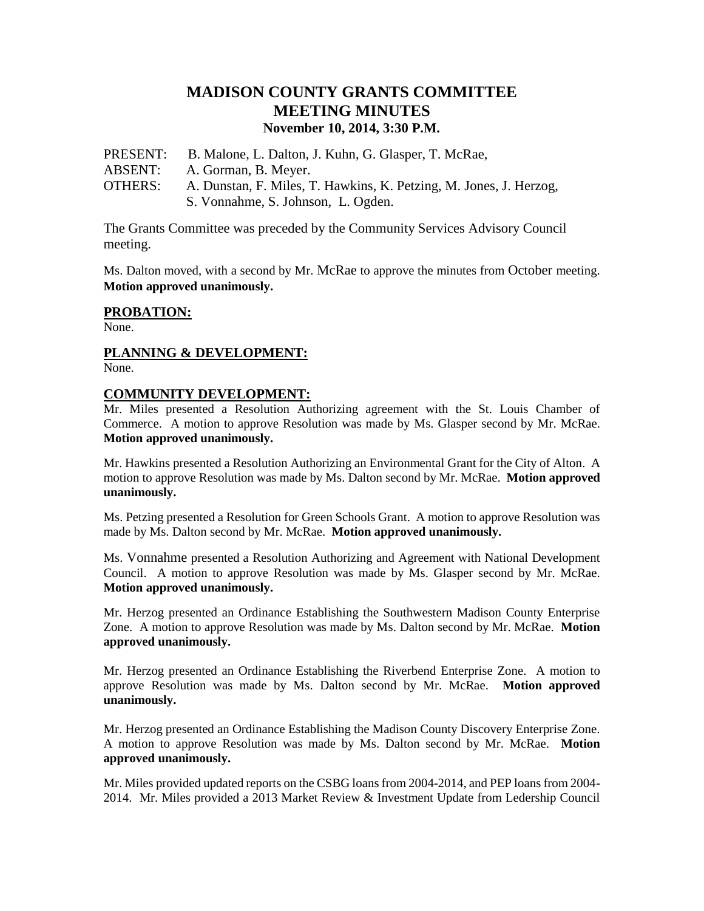# **MADISON COUNTY GRANTS COMMITTEE MEETING MINUTES November 10, 2014, 3:30 P.M.**

PRESENT: B. Malone, L. Dalton, J. Kuhn, G. Glasper, T. McRae, ABSENT: A. Gorman, B. Meyer. OTHERS: A. Dunstan, F. Miles, T. Hawkins, K. Petzing, M. Jones, J. Herzog, S. Vonnahme, S. Johnson, L. Ogden.

The Grants Committee was preceded by the Community Services Advisory Council meeting.

Ms. Dalton moved, with a second by Mr. McRae to approve the minutes from October meeting. **Motion approved unanimously.**

#### **PROBATION:**

None.

## **PLANNING & DEVELOPMENT:**

None.

#### **COMMUNITY DEVELOPMENT:**

Mr. Miles presented a Resolution Authorizing agreement with the St. Louis Chamber of Commerce. A motion to approve Resolution was made by Ms. Glasper second by Mr. McRae. **Motion approved unanimously.**

Mr. Hawkins presented a Resolution Authorizing an Environmental Grant for the City of Alton. A motion to approve Resolution was made by Ms. Dalton second by Mr. McRae. **Motion approved unanimously.**

Ms. Petzing presented a Resolution for Green Schools Grant. A motion to approve Resolution was made by Ms. Dalton second by Mr. McRae. **Motion approved unanimously.**

Ms. Vonnahme presented a Resolution Authorizing and Agreement with National Development Council. A motion to approve Resolution was made by Ms. Glasper second by Mr. McRae. **Motion approved unanimously.**

Mr. Herzog presented an Ordinance Establishing the Southwestern Madison County Enterprise Zone. A motion to approve Resolution was made by Ms. Dalton second by Mr. McRae. **Motion approved unanimously.**

Mr. Herzog presented an Ordinance Establishing the Riverbend Enterprise Zone. A motion to approve Resolution was made by Ms. Dalton second by Mr. McRae. **Motion approved unanimously.**

Mr. Herzog presented an Ordinance Establishing the Madison County Discovery Enterprise Zone. A motion to approve Resolution was made by Ms. Dalton second by Mr. McRae. **Motion approved unanimously.**

Mr. Miles provided updated reports on the CSBG loans from 2004-2014, and PEP loans from 2004- 2014. Mr. Miles provided a 2013 Market Review & Investment Update from Ledership Council